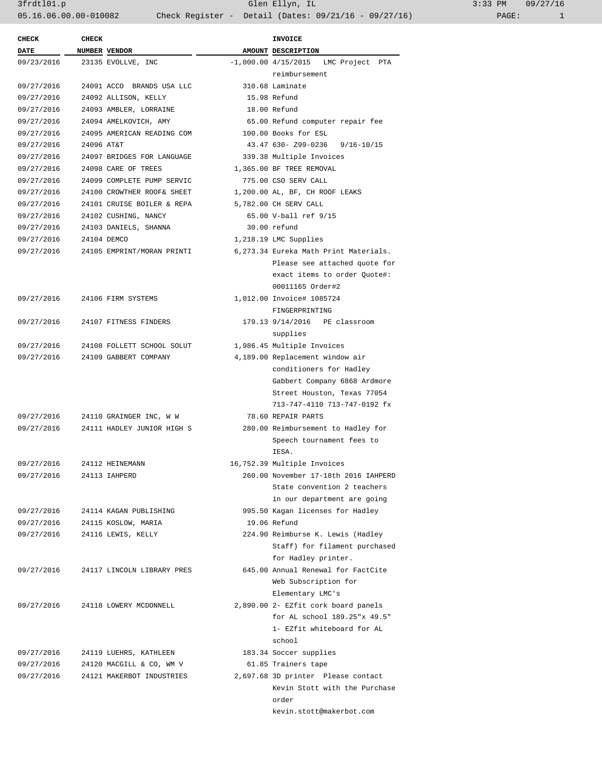3frdtl01.p Glen Ellyn, IL 3:33 PM 09/27/16 05.16.06.00.00-010082 Check Register - Detail (Dates: 09/21/16 - 09/27/16)

| <b>CHECK</b> | <b>CHECK</b>         |                                       | <b>INVOICE</b>                                                  |  |
|--------------|----------------------|---------------------------------------|-----------------------------------------------------------------|--|
| <b>DATE</b>  | <b>NUMBER VENDOR</b> |                                       | AMOUNT DESCRIPTION                                              |  |
| 09/23/2016   |                      | 23135 EVOLLVE, INC                    | $-1,000.00$ 4/15/2015 LMC Project PTA                           |  |
|              |                      |                                       | reimbursement                                                   |  |
| 09/27/2016   |                      | 24091 ACCO BRANDS USA LLC             | 310.68 Laminate                                                 |  |
| 09/27/2016   |                      | 24092 ALLISON, KELLY                  | 15.98 Refund                                                    |  |
| 09/27/2016   |                      | 24093 AMBLER, LORRAINE                | 18.00 Refund                                                    |  |
| 09/27/2016   |                      | 24094 AMELKOVICH, AMY                 | 65.00 Refund computer repair fee                                |  |
| 09/27/2016   |                      | 24095 AMERICAN READING COM            | 100.00 Books for ESL                                            |  |
| 09/27/2016   | 24096 AT&T           |                                       | 43.47 630- Z99-0236 9/16-10/15                                  |  |
| 09/27/2016   |                      | 24097 BRIDGES FOR LANGUAGE            | 339.38 Multiple Invoices                                        |  |
| 09/27/2016   |                      | 24098 CARE OF TREES                   | 1,365.00 BF TREE REMOVAL                                        |  |
| 09/27/2016   |                      | 24099 COMPLETE PUMP SERVIC            | 775.00 CSO SERV CALL                                            |  |
| 09/27/2016   |                      | 24100 CROWTHER ROOF& SHEET            | 1,200.00 AL, BF, CH ROOF LEAKS                                  |  |
| 09/27/2016   |                      | 24101 CRUISE BOILER & REPA            | 5,782.00 CH SERV CALL                                           |  |
| 09/27/2016   |                      | 24102 CUSHING, NANCY                  | 65.00 V-ball ref 9/15                                           |  |
| 09/27/2016   |                      | 24103 DANIELS, SHANNA                 | 30.00 refund                                                    |  |
| 09/27/2016   |                      | 24104 DEMCO                           | 1,218.19 LMC Supplies                                           |  |
| 09/27/2016   |                      | 24105 EMPRINT/MORAN PRINTI            | 6,273.34 Eureka Math Print Materials.                           |  |
|              |                      |                                       | Please see attached quote for                                   |  |
|              |                      |                                       | exact items to order Ouote#:                                    |  |
|              |                      |                                       | 00011165 Order#2                                                |  |
|              |                      | 09/27/2016 24106 FIRM SYSTEMS         | 1,012.00 Invoice# 1085724                                       |  |
|              |                      |                                       | FINGERPRINTING                                                  |  |
| 09/27/2016   |                      | 24107 FITNESS FINDERS                 | 179.13 9/14/2016 PE classroom                                   |  |
|              |                      |                                       | supplies                                                        |  |
| 09/27/2016   |                      | 24108 FOLLETT SCHOOL SOLUT            | 1,986.45 Multiple Invoices                                      |  |
| 09/27/2016   |                      | 24109 GABBERT COMPANY                 | 4,189.00 Replacement window air                                 |  |
|              |                      |                                       | conditioners for Hadley                                         |  |
|              |                      |                                       | Gabbert Company 6868 Ardmore                                    |  |
|              |                      |                                       | Street Houston, Texas 77054                                     |  |
|              |                      |                                       | 713-747-4110 713-747-0192 fx                                    |  |
|              |                      | 09/27/2016 24110 GRAINGER INC, W W    | 78.60 REPATR PARTS                                              |  |
|              |                      | 09/27/2016 24111 HADLEY JUNIOR HIGH S | 280.00 Reimbursement to Hadley for                              |  |
|              |                      |                                       | Speech tournament fees to                                       |  |
|              |                      |                                       | IESA.                                                           |  |
| 09/27/2016   |                      | 24112 HEINEMANN                       | 16,752.39 Multiple Invoices                                     |  |
| 09/27/2016   |                      | 24113 IAHPERD                         | 260.00 November 17-18th 2016 IAHPERD                            |  |
|              |                      |                                       | State convention 2 teachers                                     |  |
|              |                      |                                       |                                                                 |  |
|              |                      | 24114 KAGAN PUBLISHING                | in our department are going<br>995.50 Kagan licenses for Hadley |  |
| 09/27/2016   |                      |                                       | 19.06 Refund                                                    |  |
| 09/27/2016   |                      | 24115 KOSLOW, MARIA                   |                                                                 |  |
| 09/27/2016   |                      | 24116 LEWIS, KELLY                    | 224.90 Reimburse K. Lewis (Hadley                               |  |
|              |                      |                                       | Staff) for filament purchased                                   |  |
|              |                      |                                       | for Hadley printer.                                             |  |
| 09/27/2016   |                      | 24117 LINCOLN LIBRARY PRES            | 645.00 Annual Renewal for FactCite                              |  |
|              |                      |                                       | Web Subscription for                                            |  |
|              |                      |                                       | Elementary LMC's                                                |  |
| 09/27/2016   |                      | 24118 LOWERY MCDONNELL                | 2,890.00 2- EZfit cork board panels                             |  |
|              |                      |                                       | for AL school 189.25"x 49.5"                                    |  |
|              |                      |                                       | 1- EZfit whiteboard for AL                                      |  |
|              |                      |                                       | school                                                          |  |
| 09/27/2016   |                      | 24119 LUEHRS, KATHLEEN                | 183.34 Soccer supplies                                          |  |
| 09/27/2016   |                      | 24120 MACGILL & CO, WM V              | 61.85 Trainers tape                                             |  |
| 09/27/2016   |                      | 24121 MAKERBOT INDUSTRIES             | 2,697.68 3D printer Please contact                              |  |
|              |                      |                                       | Kevin Stott with the Purchase                                   |  |
|              |                      |                                       | order                                                           |  |
|              |                      |                                       | kevin.stott@makerbot.com                                        |  |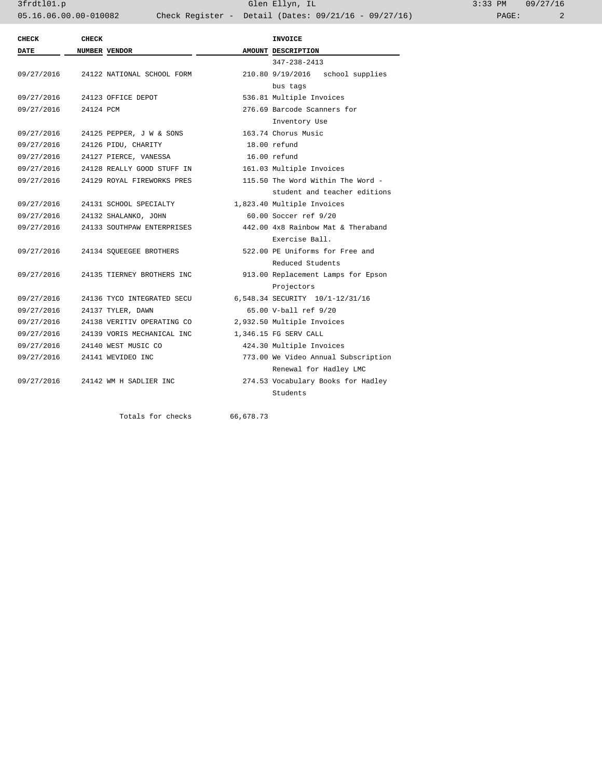3frdtl01.p Glen Ellyn, IL 3:33 PM 09/27/16 05.16.06.00.00-010082 Check Register - Detail (Dates: 09/21/16 - 09/27/16) PAGE: 2

| <b>CHECK</b> | <b>CHECK</b>         |                            |  | <b>INVOICE</b>                      |  |  |
|--------------|----------------------|----------------------------|--|-------------------------------------|--|--|
| <b>DATE</b>  | <b>NUMBER VENDOR</b> |                            |  | AMOUNT DESCRIPTION                  |  |  |
|              |                      |                            |  | $347 - 238 - 2413$                  |  |  |
| 09/27/2016   |                      | 24122 NATIONAL SCHOOL FORM |  | 210.80 9/19/2016<br>school supplies |  |  |
|              |                      |                            |  | bus tags                            |  |  |
| 09/27/2016   |                      | 24123 OFFICE DEPOT         |  | 536.81 Multiple Invoices            |  |  |
| 09/27/2016   | 24124 PCM            |                            |  | 276.69 Barcode Scanners for         |  |  |
|              |                      |                            |  | Inventory Use                       |  |  |
| 09/27/2016   |                      | 24125 PEPPER, J W & SONS   |  | 163.74 Chorus Music                 |  |  |
| 09/27/2016   |                      | 24126 PIDU, CHARITY        |  | 18.00 refund                        |  |  |
| 09/27/2016   |                      | 24127 PIERCE, VANESSA      |  | 16.00 refund                        |  |  |
| 09/27/2016   |                      | 24128 REALLY GOOD STUFF IN |  | 161.03 Multiple Invoices            |  |  |
| 09/27/2016   |                      | 24129 ROYAL FIREWORKS PRES |  | 115.50 The Word Within The Word -   |  |  |
|              |                      |                            |  | student and teacher editions        |  |  |
| 09/27/2016   |                      | 24131 SCHOOL SPECIALTY     |  | 1,823.40 Multiple Invoices          |  |  |
| 09/27/2016   |                      | 24132 SHALANKO, JOHN       |  | 60.00 Soccer ref 9/20               |  |  |
| 09/27/2016   |                      | 24133 SOUTHPAW ENTERPRISES |  | 442.00 4x8 Rainbow Mat & Theraband  |  |  |
|              |                      |                            |  | Exercise Ball.                      |  |  |
| 09/27/2016   |                      | 24134 SOUEEGEE BROTHERS    |  | 522.00 PE Uniforms for Free and     |  |  |
|              |                      |                            |  | Reduced Students                    |  |  |
| 09/27/2016   |                      | 24135 TIERNEY BROTHERS INC |  | 913.00 Replacement Lamps for Epson  |  |  |
|              |                      |                            |  | Projectors                          |  |  |
| 09/27/2016   |                      | 24136 TYCO INTEGRATED SECU |  | 6,548.34 SECURITY 10/1-12/31/16     |  |  |
| 09/27/2016   |                      | 24137 TYLER, DAWN          |  | 65.00 V-ball ref 9/20               |  |  |
| 09/27/2016   |                      | 24138 VERITIV OPERATING CO |  | 2,932.50 Multiple Invoices          |  |  |
| 09/27/2016   |                      | 24139 VORIS MECHANICAL INC |  | 1,346.15 FG SERV CALL               |  |  |
| 09/27/2016   |                      | 24140 WEST MUSIC CO        |  | 424.30 Multiple Invoices            |  |  |
| 09/27/2016   |                      | 24141 WEVIDEO INC          |  | 773.00 We Video Annual Subscription |  |  |
|              |                      |                            |  | Renewal for Hadley LMC              |  |  |
| 09/27/2016   |                      | 24142 WM H SADLIER INC     |  | 274.53 Vocabulary Books for Hadley  |  |  |
|              |                      |                            |  | Students                            |  |  |

Totals for checks 66,678.73